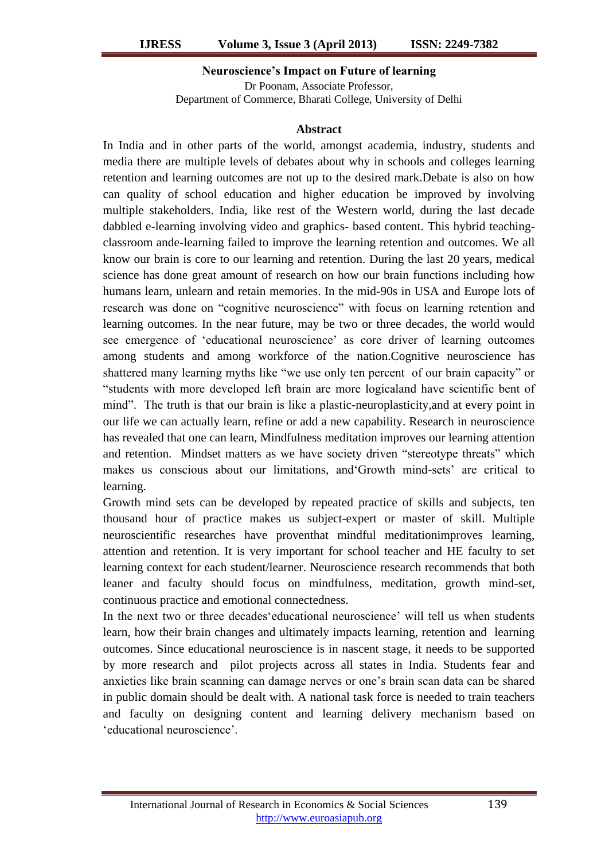### **Neuroscience's Impact on Future of learning**

Dr Poonam, Associate Professor, Department of Commerce, Bharati College, University of Delhi

#### **Abstract**

In India and in other parts of the world, amongst academia, industry, students and media there are multiple levels of debates about why in schools and colleges learning retention and learning outcomes are not up to the desired mark.Debate is also on how can quality of school education and higher education be improved by involving multiple stakeholders. India, like rest of the Western world, during the last decade dabbled e-learning involving video and graphics- based content. This hybrid teachingclassroom ande-learning failed to improve the learning retention and outcomes. We all know our brain is core to our learning and retention. During the last 20 years, medical science has done great amount of research on how our brain functions including how humans learn, unlearn and retain memories. In the mid-90s in USA and Europe lots of research was done on "cognitive neuroscience" with focus on learning retention and learning outcomes. In the near future, may be two or three decades, the world would see emergence of 'educational neuroscience' as core driver of learning outcomes among students and among workforce of the nation.Cognitive neuroscience has shattered many learning myths like "we use only ten percent of our brain capacity" or "students with more developed left brain are more logicaland have scientific bent of mind". The truth is that our brain is like a plastic-neuroplasticity,and at every point in our life we can actually learn, refine or add a new capability. Research in neuroscience has revealed that one can learn, Mindfulness meditation improves our learning attention and retention. Mindset matters as we have society driven "stereotype threats" which makes us conscious about our limitations, and Growth mind-sets' are critical to learning.

Growth mind sets can be developed by repeated practice of skills and subjects, ten thousand hour of practice makes us subject-expert or master of skill. Multiple neuroscientific researches have proventhat mindful meditationimproves learning, attention and retention. It is very important for school teacher and HE faculty to set learning context for each student/learner. Neuroscience research recommends that both leaner and faculty should focus on mindfulness, meditation, growth mind-set, continuous practice and emotional connectedness.

In the next two or three decades"educational neuroscience" will tell us when students learn, how their brain changes and ultimately impacts learning, retention and learning outcomes. Since educational neuroscience is in nascent stage, it needs to be supported by more research and pilot projects across all states in India. Students fear and anxieties like brain scanning can damage nerves or one"s brain scan data can be shared in public domain should be dealt with. A national task force is needed to train teachers and faculty on designing content and learning delivery mechanism based on "educational neuroscience".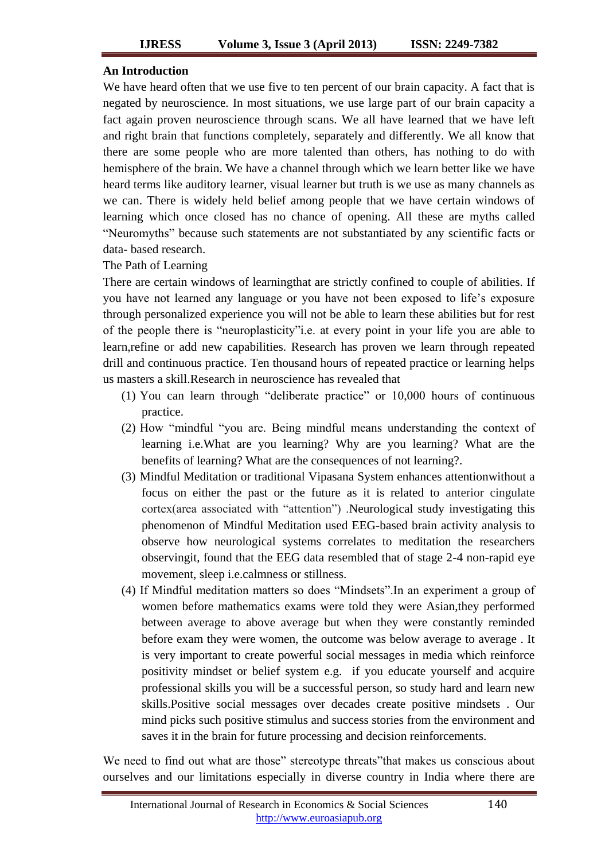### **An Introduction**

We have heard often that we use five to ten percent of our brain capacity. A fact that is negated by neuroscience. In most situations, we use large part of our brain capacity a fact again proven neuroscience through scans. We all have learned that we have left and right brain that functions completely, separately and differently. We all know that there are some people who are more talented than others, has nothing to do with hemisphere of the brain. We have a channel through which we learn better like we have heard terms like auditory learner, visual learner but truth is we use as many channels as we can. There is widely held belief among people that we have certain windows of learning which once closed has no chance of opening. All these are myths called "Neuromyths" because such statements are not substantiated by any scientific facts or data- based research.

The Path of Learning

There are certain windows of learningthat are strictly confined to couple of abilities. If you have not learned any language or you have not been exposed to life"s exposure through personalized experience you will not be able to learn these abilities but for rest of the people there is "neuroplasticity"i.e. at every point in your life you are able to learn,refine or add new capabilities. Research has proven we learn through repeated drill and continuous practice. Ten thousand hours of repeated practice or learning helps us masters a skill.Research in neuroscience has revealed that

- (1) You can learn through "deliberate practice" or 10,000 hours of continuous practice.
- (2) How "mindful "you are. Being mindful means understanding the context of learning i.e.What are you learning? Why are you learning? What are the benefits of learning? What are the consequences of not learning?.
- (3) Mindful Meditation or traditional Vipasana System enhances attentionwithout a focus on either the past or the future as it is related to anterior cingulate cortex(area associated with "attention") .Neurological study investigating this phenomenon of Mindful Meditation used EEG-based brain activity analysis to observe how neurological systems correlates to meditation the researchers observingit, found that the EEG data resembled that of stage 2-4 non-rapid eye movement, sleep i.e.calmness or stillness.
- (4) If Mindful meditation matters so does "Mindsets".In an experiment a group of women before mathematics exams were told they were Asian,they performed between average to above average but when they were constantly reminded before exam they were women, the outcome was below average to average. It is very important to create powerful social messages in media which reinforce positivity mindset or belief system e.g. if you educate yourself and acquire professional skills you will be a successful person, so study hard and learn new skills.Positive social messages over decades create positive mindsets . Our mind picks such positive stimulus and success stories from the environment and saves it in the brain for future processing and decision reinforcements.

We need to find out what are those" stereotype threats"that makes us conscious about ourselves and our limitations especially in diverse country in India where there are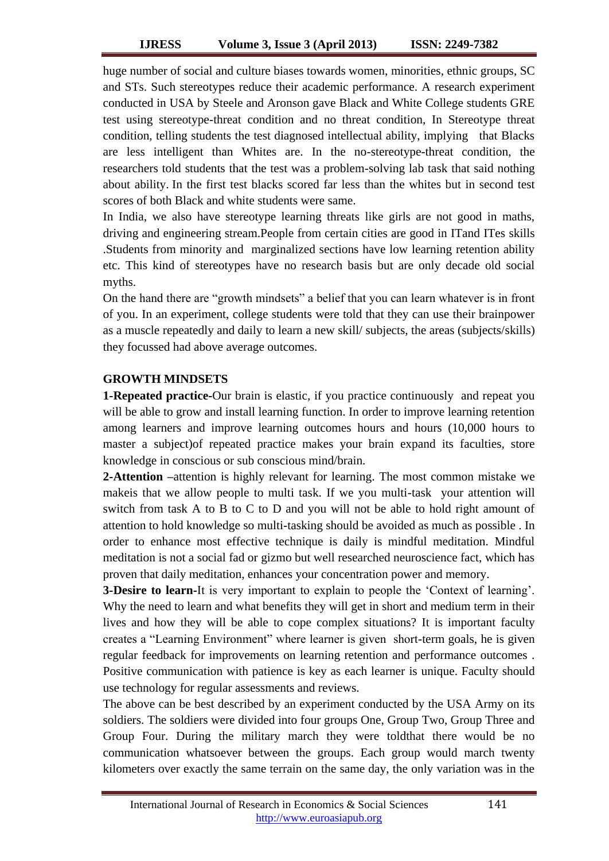huge number of social and culture biases towards women, minorities, ethnic groups, SC and STs. Such stereotypes reduce their academic performance. A research experiment conducted in USA by Steele and Aronson gave Black and White College students GRE test using stereotype-threat condition and no threat condition, In Stereotype threat condition, telling students the test diagnosed intellectual ability, implying that Blacks are less intelligent than Whites are. In the no-stereotype-threat condition, the researchers told students that the test was a problem-solving lab task that said nothing about ability. In the first test blacks scored far less than the whites but in second test scores of both Black and white students were same.

In India, we also have stereotype learning threats like girls are not good in maths, driving and engineering stream.People from certain cities are good in ITand ITes skills .Students from minority and marginalized sections have low learning retention ability etc. This kind of stereotypes have no research basis but are only decade old social myths.

On the hand there are "growth mindsets" a belief that you can learn whatever is in front of you. In an experiment, college students were told that they can use their brainpower as a muscle repeatedly and daily to learn a new skill/ subjects, the areas (subjects/skills) they focussed had above average outcomes.

# **GROWTH MINDSETS**

**1-Repeated practice-**Our brain is elastic, if you practice continuously and repeat you will be able to grow and install learning function. In order to improve learning retention among learners and improve learning outcomes hours and hours (10,000 hours to master a subject)of repeated practice makes your brain expand its faculties, store knowledge in conscious or sub conscious mind/brain.

**2-Attention –**attention is highly relevant for learning. The most common mistake we makeis that we allow people to multi task. If we you multi-task your attention will switch from task A to B to C to D and you will not be able to hold right amount of attention to hold knowledge so multi-tasking should be avoided as much as possible . In order to enhance most effective technique is daily is mindful meditation. Mindful meditation is not a social fad or gizmo but well researched neuroscience fact, which has proven that daily meditation, enhances your concentration power and memory.

**3-Desire to learn-**It is very important to explain to people the 'Context of learning'. Why the need to learn and what benefits they will get in short and medium term in their lives and how they will be able to cope complex situations? It is important faculty creates a "Learning Environment" where learner is given short-term goals, he is given regular feedback for improvements on learning retention and performance outcomes . Positive communication with patience is key as each learner is unique. Faculty should use technology for regular assessments and reviews.

The above can be best described by an experiment conducted by the USA Army on its soldiers. The soldiers were divided into four groups One, Group Two, Group Three and Group Four. During the military march they were toldthat there would be no communication whatsoever between the groups. Each group would march twenty kilometers over exactly the same terrain on the same day, the only variation was in the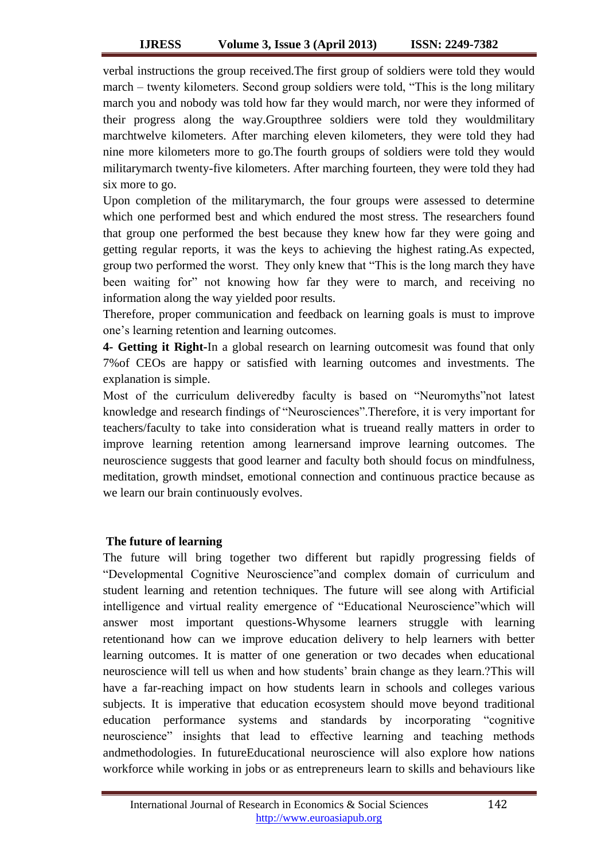verbal instructions the group received.The first group of soldiers were told they would march – twenty kilometers. Second group soldiers were told, "This is the long military march you and nobody was told how far they would march, nor were they informed of their progress along the way.Groupthree soldiers were told they wouldmilitary marchtwelve kilometers. After marching eleven kilometers, they were told they had nine more kilometers more to go.The fourth groups of soldiers were told they would militarymarch twenty-five kilometers. After marching fourteen, they were told they had six more to go.

Upon completion of the militarymarch, the four groups were assessed to determine which one performed best and which endured the most stress. The researchers found that group one performed the best because they knew how far they were going and getting regular reports, it was the keys to achieving the highest rating.As expected, group two performed the worst. They only knew that "This is the long march they have been waiting for" not knowing how far they were to march, and receiving no information along the way yielded poor results.

Therefore, proper communication and feedback on learning goals is must to improve one"s learning retention and learning outcomes.

**4- Getting it Right-**In a global research on learning outcomesit was found that only 7%of CEOs are happy or satisfied with learning outcomes and investments. The explanation is simple.

Most of the curriculum deliveredby faculty is based on "Neuromyths"not latest knowledge and research findings of "Neurosciences".Therefore, it is very important for teachers/faculty to take into consideration what is trueand really matters in order to improve learning retention among learnersand improve learning outcomes. The neuroscience suggests that good learner and faculty both should focus on mindfulness, meditation, growth mindset, emotional connection and continuous practice because as we learn our brain continuously evolves.

# **The future of learning**

The future will bring together two different but rapidly progressing fields of "Developmental Cognitive Neuroscience"and complex domain of curriculum and student learning and retention techniques. The future will see along with Artificial intelligence and virtual reality emergence of "Educational Neuroscience"which will answer most important questions-Whysome learners struggle with learning retentionand how can we improve education delivery to help learners with better learning outcomes. It is matter of one generation or two decades when educational neuroscience will tell us when and how students" brain change as they learn.?This will have a far-reaching impact on how students learn in schools and colleges various subjects. It is imperative that education ecosystem should move beyond traditional education performance systems and standards by incorporating "cognitive neuroscience" insights that lead to effective learning and teaching methods andmethodologies. In futureEducational neuroscience will also explore how nations workforce while working in jobs or as entrepreneurs learn to skills and behaviours like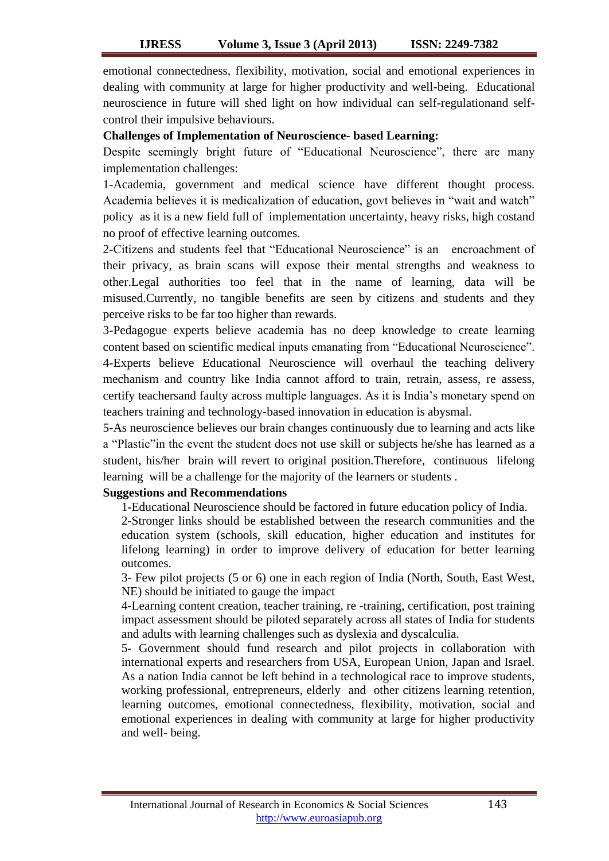emotional connectedness, flexibility, motivation, social and emotional experiences in dealing with community at large for higher productivity and well-being. Educational neuroscience in future will shed light on how individual can self-regulationand selfcontrol their impulsive behaviours.

### **Challenges of Implementation of Neuroscience- based Learning:**

Despite seemingly bright future of "Educational Neuroscience", there are many implementation challenges:

1-Academia, government and medical science have different thought process. Academia believes it is medicalization of education, govt believes in "wait and watch" policy as it is a new field full of implementation uncertainty, heavy risks, high costand no proof of effective learning outcomes.

2-Citizens and students feel that "Educational Neuroscience" is an encroachment of their privacy, as brain scans will expose their mental strengths and weakness to other.Legal authorities too feel that in the name of learning, data will be misused.Currently, no tangible benefits are seen by citizens and students and they perceive risks to be far too higher than rewards.

3-Pedagogue experts believe academia has no deep knowledge to create learning content based on scientific medical inputs emanating from "Educational Neuroscience". 4-Experts believe Educational Neuroscience will overhaul the teaching delivery mechanism and country like India cannot afford to train, retrain, assess, re assess, certify teachersand faulty across multiple languages. As it is India"s monetary spend on teachers training and technology-based innovation in education is abysmal.

5-As neuroscience believes our brain changes continuously due to learning and acts like a "Plastic"in the event the student does not use skill or subjects he/she has learned as a student, his/her brain will revert to original position.Therefore, continuous lifelong learning will be a challenge for the majority of the learners or students .

# **Suggestions and Recommendations**

1-Educational Neuroscience should be factored in future education policy of India.

2-Stronger links should be established between the research communities and the education system (schools, skill education, higher education and institutes for lifelong learning) in order to improve delivery of education for better learning outcomes.

3- Few pilot projects (5 or 6) one in each region of India (North, South, East West, NE) should be initiated to gauge the impact

4-Learning content creation, teacher training, re -training, certification, post training impact assessment should be piloted separately across all states of India for students and adults with learning challenges such as dyslexia and dyscalculia.

5- Government should fund research and pilot projects in collaboration with international experts and researchers from USA, European Union, Japan and Israel. As a nation India cannot be left behind in a technological race to improve students, working professional, entrepreneurs, elderly and other citizens learning retention, learning outcomes, emotional connectedness, flexibility, motivation, social and emotional experiences in dealing with community at large for higher productivity and well- being.